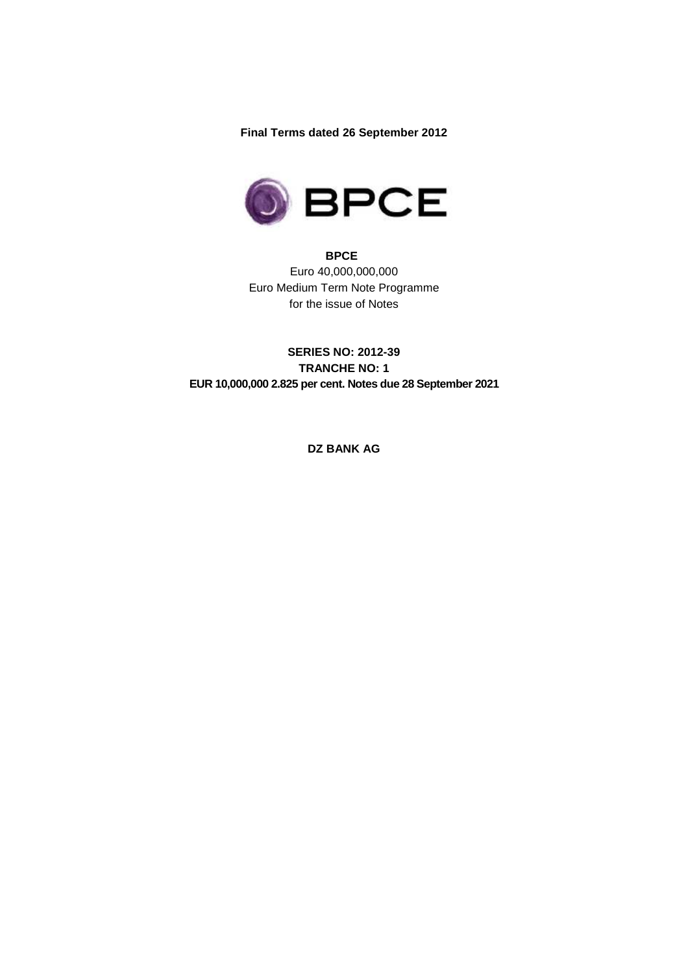**Final Terms dated 26 September 2012** 



**BPCE**  Euro 40,000,000,000 Euro Medium Term Note Programme for the issue of Notes

**SERIES NO: 2012-39 TRANCHE NO: 1 EUR 10,000,000 2.825 per cent. Notes due 28 September 2021** 

**DZ BANK AG**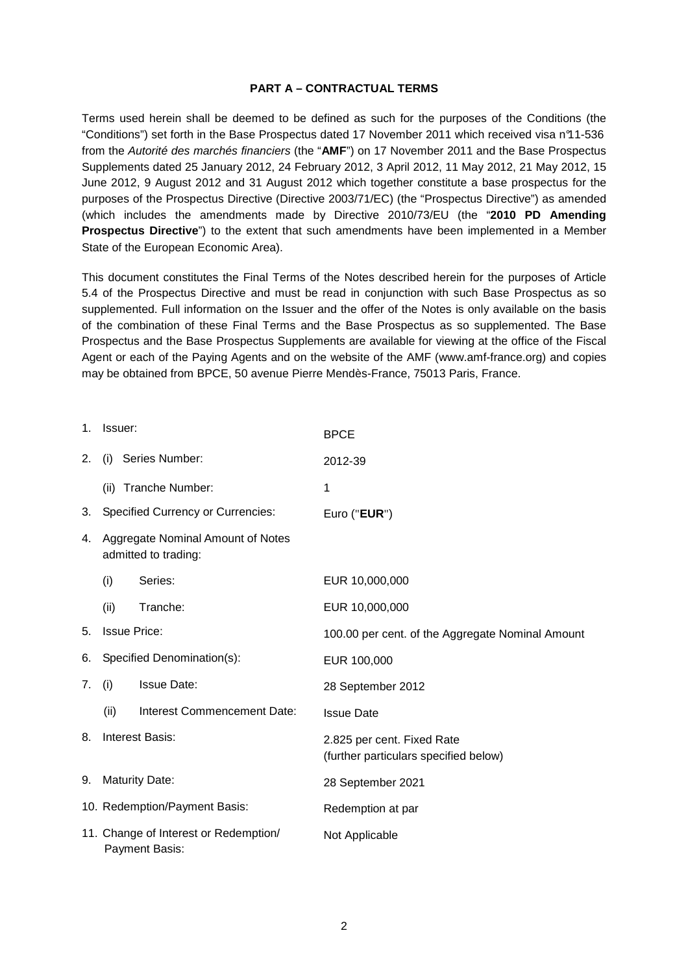#### **PART A – CONTRACTUAL TERMS**

Terms used herein shall be deemed to be defined as such for the purposes of the Conditions (the "Conditions") set forth in the Base Prospectus dated 17 November 2011 which received visa n°11-536 from the Autorité des marchés financiers (the "**AMF**") on 17 November 2011 and the Base Prospectus Supplements dated 25 January 2012, 24 February 2012, 3 April 2012, 11 May 2012, 21 May 2012, 15 June 2012, 9 August 2012 and 31 August 2012 which together constitute a base prospectus for the purposes of the Prospectus Directive (Directive 2003/71/EC) (the "Prospectus Directive") as amended (which includes the amendments made by Directive 2010/73/EU (the "**2010 PD Amending Prospectus Directive**") to the extent that such amendments have been implemented in a Member State of the European Economic Area).

This document constitutes the Final Terms of the Notes described herein for the purposes of Article 5.4 of the Prospectus Directive and must be read in conjunction with such Base Prospectus as so supplemented. Full information on the Issuer and the offer of the Notes is only available on the basis of the combination of these Final Terms and the Base Prospectus as so supplemented. The Base Prospectus and the Base Prospectus Supplements are available for viewing at the office of the Fiscal Agent or each of the Paying Agents and on the website of the AMF (www.amf-france.org) and copies may be obtained from BPCE, 50 avenue Pierre Mendès-France, 75013 Paris, France.

| 1.             | Issuer:                                  |                                                           | <b>BPCE</b>                                                         |
|----------------|------------------------------------------|-----------------------------------------------------------|---------------------------------------------------------------------|
| 2.             | (i)                                      | Series Number:                                            | 2012-39                                                             |
|                | (ii)                                     | Tranche Number:                                           | 1                                                                   |
| 3.             | <b>Specified Currency or Currencies:</b> |                                                           | Euro ("EUR")                                                        |
| 4.             |                                          | Aggregate Nominal Amount of Notes<br>admitted to trading: |                                                                     |
|                | (i)                                      | Series:                                                   | EUR 10,000,000                                                      |
|                | (ii)                                     | Tranche:                                                  | EUR 10,000,000                                                      |
| 5.             |                                          | <b>Issue Price:</b>                                       | 100.00 per cent. of the Aggregate Nominal Amount                    |
| 6.             |                                          | Specified Denomination(s):                                | EUR 100,000                                                         |
| 7 <sub>1</sub> | (i)                                      | <b>Issue Date:</b>                                        | 28 September 2012                                                   |
|                | (ii)                                     | Interest Commencement Date:                               | <b>Issue Date</b>                                                   |
| 8.             | <b>Interest Basis:</b>                   |                                                           | 2.825 per cent. Fixed Rate<br>(further particulars specified below) |
| 9.             | <b>Maturity Date:</b>                    |                                                           | 28 September 2021                                                   |
|                | 10. Redemption/Payment Basis:            |                                                           | Redemption at par                                                   |
|                |                                          | 11. Change of Interest or Redemption/<br>Payment Basis:   | Not Applicable                                                      |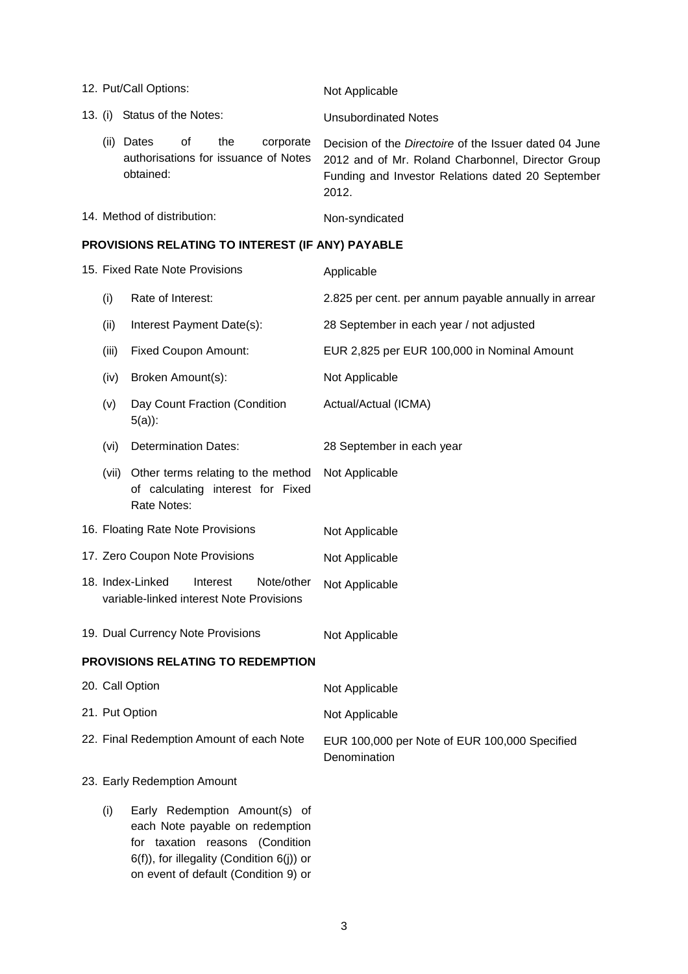| 12. Put/Call Options:       |                      |    |     |                                                   | Not Applicable                                                                                                                                                                   |
|-----------------------------|----------------------|----|-----|---------------------------------------------------|----------------------------------------------------------------------------------------------------------------------------------------------------------------------------------|
| 13. (i)                     | Status of the Notes: |    |     |                                                   | <b>Unsubordinated Notes</b>                                                                                                                                                      |
| (ii)                        | Dates<br>obtained:   | 0t | the | corporate<br>authorisations for issuance of Notes | Decision of the <i>Directoire</i> of the Issuer dated 04 June<br>2012 and of Mr. Roland Charbonnel, Director Group<br>Funding and Investor Relations dated 20 September<br>2012. |
| 14. Method of distribution: |                      |    |     |                                                   | Non-syndicated                                                                                                                                                                   |

# **PROVISIONS RELATING TO INTEREST (IF ANY) PAYABLE**

|                | 15. Fixed Rate Note Provisions                                                                                                                                                           | Applicable                                                    |  |
|----------------|------------------------------------------------------------------------------------------------------------------------------------------------------------------------------------------|---------------------------------------------------------------|--|
| (i)            | Rate of Interest:                                                                                                                                                                        | 2.825 per cent. per annum payable annually in arrear          |  |
| (ii)           | Interest Payment Date(s):                                                                                                                                                                | 28 September in each year / not adjusted                      |  |
| (iii)          | <b>Fixed Coupon Amount:</b>                                                                                                                                                              | EUR 2,825 per EUR 100,000 in Nominal Amount                   |  |
| (iv)           | Broken Amount(s):                                                                                                                                                                        | Not Applicable                                                |  |
| (v)            | Day Count Fraction (Condition<br>$5(a)$ :                                                                                                                                                | Actual/Actual (ICMA)                                          |  |
| (vi)           | <b>Determination Dates:</b>                                                                                                                                                              | 28 September in each year                                     |  |
|                | (vii) Other terms relating to the method<br>of calculating interest for Fixed<br>Rate Notes:                                                                                             | Not Applicable                                                |  |
|                | 16. Floating Rate Note Provisions                                                                                                                                                        | Not Applicable                                                |  |
|                | 17. Zero Coupon Note Provisions                                                                                                                                                          | Not Applicable                                                |  |
|                | 18. Index-Linked<br>Note/other<br>Interest<br>variable-linked interest Note Provisions                                                                                                   | Not Applicable                                                |  |
|                | 19. Dual Currency Note Provisions                                                                                                                                                        | Not Applicable                                                |  |
|                | PROVISIONS RELATING TO REDEMPTION                                                                                                                                                        |                                                               |  |
|                | 20. Call Option                                                                                                                                                                          | Not Applicable                                                |  |
| 21. Put Option |                                                                                                                                                                                          | Not Applicable                                                |  |
|                | 22. Final Redemption Amount of each Note                                                                                                                                                 | EUR 100,000 per Note of EUR 100,000 Specified<br>Denomination |  |
|                | 23. Early Redemption Amount                                                                                                                                                              |                                                               |  |
| (i)            | Early Redemption Amount(s) of<br>each Note payable on redemption<br>for taxation reasons (Condition<br>6(f)), for illegality (Condition 6(j)) or<br>on event of default (Condition 9) or |                                                               |  |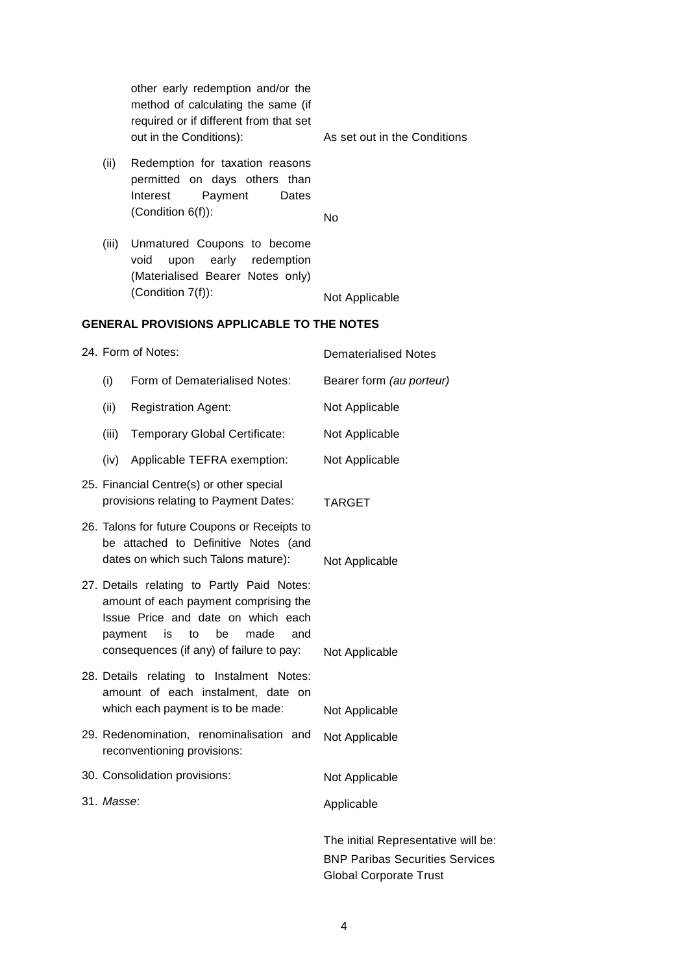|            | other early redemption and/or the<br>method of calculating the same (if<br>required or if different from that set<br>out in the Conditions):                                                                      | As set out in the Conditions                                                  |
|------------|-------------------------------------------------------------------------------------------------------------------------------------------------------------------------------------------------------------------|-------------------------------------------------------------------------------|
| (ii)       | Redemption for taxation reasons<br>permitted on days others than<br>Interest<br>Payment<br>Dates<br>(Condition 6(f)):                                                                                             | No                                                                            |
| (iii)      | Unmatured Coupons to become<br>redemption<br>void<br>upon<br>early<br>(Materialised Bearer Notes only)<br>(Condition 7(f)):                                                                                       |                                                                               |
|            |                                                                                                                                                                                                                   | Not Applicable                                                                |
|            | <b>GENERAL PROVISIONS APPLICABLE TO THE NOTES</b>                                                                                                                                                                 |                                                                               |
|            | 24. Form of Notes:                                                                                                                                                                                                | <b>Dematerialised Notes</b>                                                   |
| (i)        | Form of Dematerialised Notes:                                                                                                                                                                                     | Bearer form (au porteur)                                                      |
| (ii)       | <b>Registration Agent:</b>                                                                                                                                                                                        | Not Applicable                                                                |
| (iii)      | Temporary Global Certificate:                                                                                                                                                                                     | Not Applicable                                                                |
| (iv)       | Applicable TEFRA exemption:                                                                                                                                                                                       | Not Applicable                                                                |
|            | 25. Financial Centre(s) or other special<br>provisions relating to Payment Dates:                                                                                                                                 | <b>TARGET</b>                                                                 |
|            | 26. Talons for future Coupons or Receipts to<br>be attached to Definitive Notes (and<br>dates on which such Talons mature):                                                                                       | Not Applicable                                                                |
|            | 27. Details relating to Partly Paid Notes:<br>amount of each payment comprising the<br>Issue Price and date on which each<br>be<br>made<br>and<br>payment<br>is<br>to<br>consequences (if any) of failure to pay: | Not Applicable                                                                |
|            | 28. Details relating to Instalment Notes:<br>amount of each instalment, date on<br>which each payment is to be made:                                                                                              | Not Applicable                                                                |
|            | 29. Redenomination, renominalisation and<br>reconventioning provisions:                                                                                                                                           | Not Applicable                                                                |
|            | 30. Consolidation provisions:                                                                                                                                                                                     | Not Applicable                                                                |
| 31. Masse: |                                                                                                                                                                                                                   | Applicable                                                                    |
|            |                                                                                                                                                                                                                   | The initial Representative will be:<br><b>BNP Paribas Securities Services</b> |

Global Corporate Trust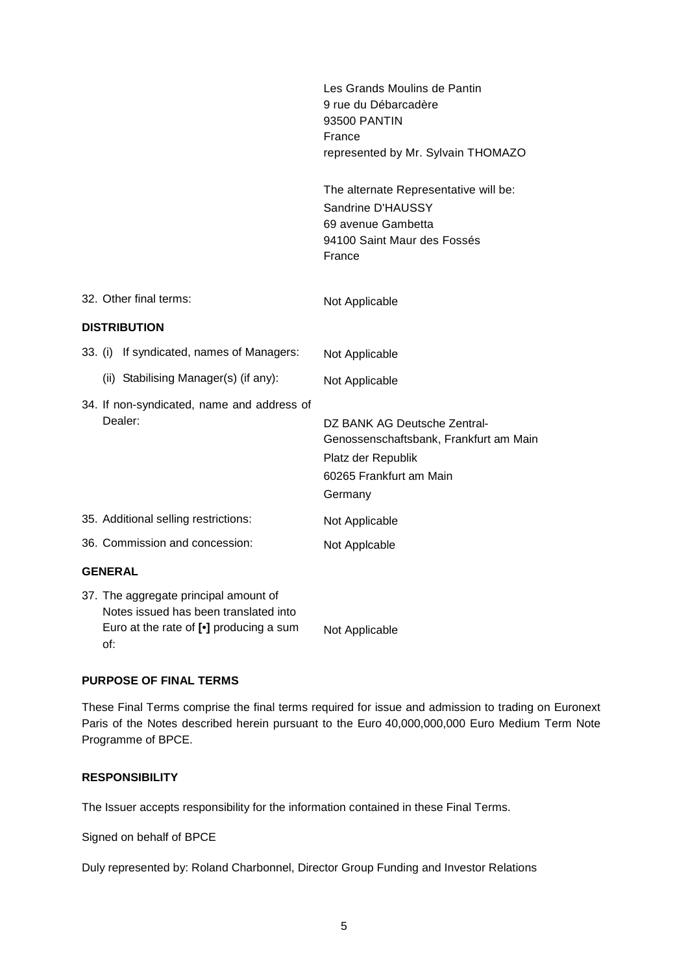|                                                                                                                                                        | Les Grands Moulins de Pantin<br>9 rue du Débarcadère<br>93500 PANTIN<br>France<br>represented by Mr. Sylvain THOMAZO               |
|--------------------------------------------------------------------------------------------------------------------------------------------------------|------------------------------------------------------------------------------------------------------------------------------------|
|                                                                                                                                                        | The alternate Representative will be:<br>Sandrine D'HAUSSY<br>69 avenue Gambetta<br>94100 Saint Maur des Fossés<br>France          |
| 32. Other final terms:                                                                                                                                 | Not Applicable                                                                                                                     |
| <b>DISTRIBUTION</b>                                                                                                                                    |                                                                                                                                    |
| 33. (i) If syndicated, names of Managers:                                                                                                              | Not Applicable                                                                                                                     |
| (ii) Stabilising Manager(s) (if any):                                                                                                                  | Not Applicable                                                                                                                     |
| 34. If non-syndicated, name and address of<br>Dealer:                                                                                                  | DZ BANK AG Deutsche Zentral-<br>Genossenschaftsbank, Frankfurt am Main<br>Platz der Republik<br>60265 Frankfurt am Main<br>Germany |
| 35. Additional selling restrictions:                                                                                                                   | Not Applicable                                                                                                                     |
| 36. Commission and concession:                                                                                                                         | Not Applcable                                                                                                                      |
| <b>GENERAL</b>                                                                                                                                         |                                                                                                                                    |
| 37. The aggregate principal amount of<br>Notes issued has been translated into<br>Euro at the rate of $\lbrack \bullet \rbrack$ producing a sum<br>∩f∸ | Not Applicable                                                                                                                     |

# **PURPOSE OF FINAL TERMS**

These Final Terms comprise the final terms required for issue and admission to trading on Euronext Paris of the Notes described herein pursuant to the Euro 40,000,000,000 Euro Medium Term Note Programme of BPCE.

### **RESPONSIBILITY**

The Issuer accepts responsibility for the information contained in these Final Terms.

Signed on behalf of BPCE

Duly represented by: Roland Charbonnel, Director Group Funding and Investor Relations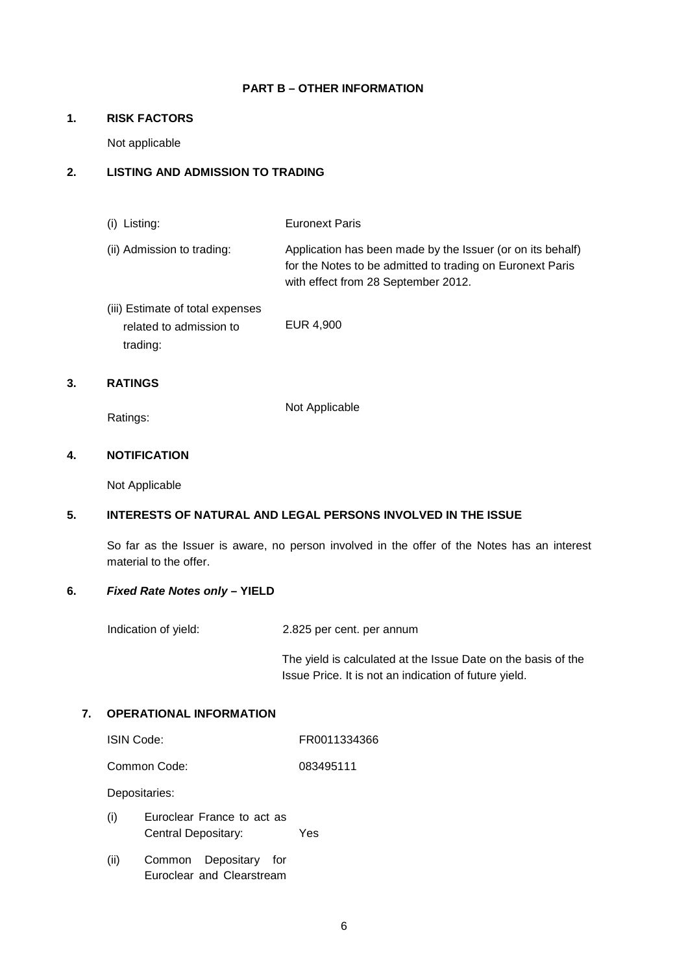#### **PART B – OTHER INFORMATION**

### **1. RISK FACTORS**

Not applicable

# **2. LISTING AND ADMISSION TO TRADING**

(i) Listing: Euronext Paris

- (ii) Admission to trading: Application has been made by the Issuer (or on its behalf) for the Notes to be admitted to trading on Euronext Paris with effect from 28 September 2012.
- (iii) Estimate of total expenses related to admission to trading: EUR 4,900

# **3. RATINGS**

Ratings:

Not Applicable

### **4. NOTIFICATION**

Not Applicable

# **5. INTERESTS OF NATURAL AND LEGAL PERSONS INVOLVED IN THE ISSUE**

So far as the Issuer is aware, no person involved in the offer of the Notes has an interest material to the offer.

### **6. Fixed Rate Notes only – YIELD**

Indication of yield: 2.825 per cent. per annum

The yield is calculated at the Issue Date on the basis of the Issue Price. It is not an indication of future yield.

# **7. OPERATIONAL INFORMATION**

| FR0011334366 |
|--------------|
|              |

Common Code: 083495111

Depositaries:

- (i) Euroclear France to act as Central Depositary: Yes
- (ii) Common Depositary for Euroclear and Clearstream